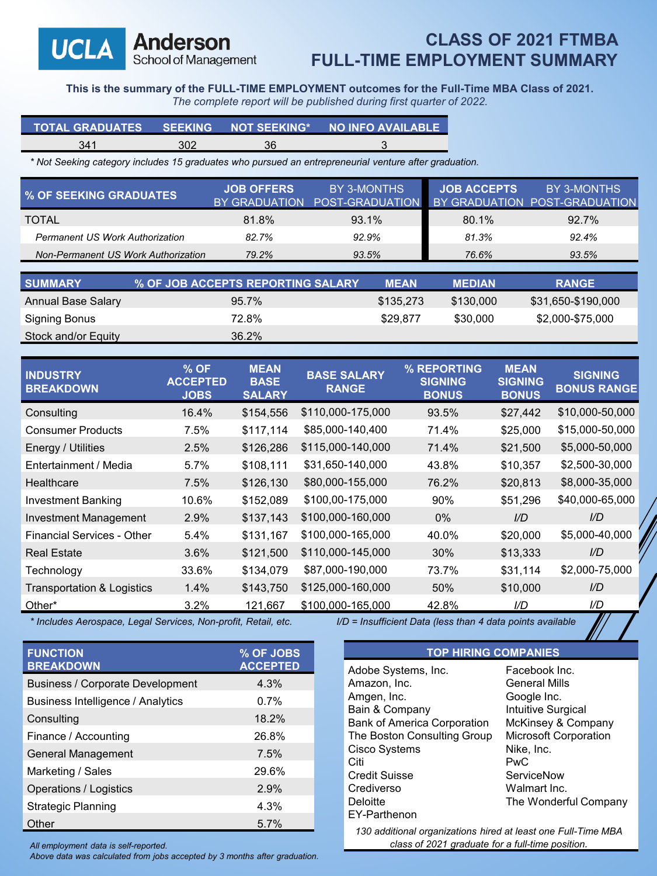Anderson School of Management

**UCLA** 

## **CLASS OF 2021 FTMBA FULL-TIME EMPLOYMENT SUMMARY**

**This is the summary of the FULL-TIME EMPLOYMENT outcomes for the Full-Time MBA Class of 2021.**

*The complete report will be published during first quarter of 2022.*

| TOTAL GRADUATES SEEKING NOT SEEKING* NO INFO AVAILABLE |     |    |  |
|--------------------------------------------------------|-----|----|--|
| 341                                                    | 302 | 36 |  |

*\* Not Seeking category includes 15 graduates who pursued an entrepreneurial venture after graduation.* 

| <b>% OF SEEKING GRADUATES</b>          | <b>JOB OFFERS</b><br>BY GRADUATION | BY 3-MONTHS<br>POST-GRADUATION |             | <b>JOB ACCEPTS</b> | BY 3-MONTHS<br>BY GRADUATION POST-GRADUATION |
|----------------------------------------|------------------------------------|--------------------------------|-------------|--------------------|----------------------------------------------|
| <b>TOTAL</b>                           | 81.8%                              | 93.1%                          |             | 80.1%              | 92.7%                                        |
| <b>Permanent US Work Authorization</b> | 82.7%                              | 92.9%                          |             | 81.3%              | 92.4%                                        |
| Non-Permanent US Work Authorization    | 79.2%                              | 93.5%                          |             | 76.6%              | 93.5%                                        |
|                                        |                                    |                                |             |                    |                                              |
| <b>SUMMARY</b>                         | % OF JOB ACCEPTS REPORTING SALARY  |                                | <b>MEAN</b> | <b>MEDIAN</b>      | <b>RANGE</b>                                 |
| <b>Annual Base Salary</b>              | 95.7%                              |                                | \$135,273   | \$130,000          | \$31,650-\$190,000                           |
| <b>Signing Bonus</b>                   | 72.8%                              |                                | \$29,877    | \$30,000           | \$2,000-\$75,000                             |
| Stock and/or Equity                    | 36.2%                              |                                |             |                    |                                              |

| <b>INDUSTRY</b><br><b>BREAKDOWN</b> | $%$ OF<br><b>ACCEPTED</b><br><b>JOBS</b> | <b>MEAN</b><br><b>BASE</b><br><b>SALARY</b> | <b>BASE SALARY</b><br><b>RANGE</b> | % REPORTING<br><b>SIGNING</b><br><b>BONUS</b> | <b>MEAN</b><br><b>SIGNING</b><br><b>BONUS</b> | <b>SIGNING</b><br><b>BONUS RANGE</b> |
|-------------------------------------|------------------------------------------|---------------------------------------------|------------------------------------|-----------------------------------------------|-----------------------------------------------|--------------------------------------|
| Consulting                          | 16.4%                                    | \$154,556                                   | \$110,000-175,000                  | 93.5%                                         | \$27,442                                      | \$10,000-50,000                      |
| <b>Consumer Products</b>            | 7.5%                                     | \$117,114                                   | \$85,000-140,400                   | 71.4%                                         | \$25,000                                      | \$15,000-50,000                      |
| Energy / Utilities                  | 2.5%                                     | \$126,286                                   | \$115,000-140,000                  | 71.4%                                         | \$21,500                                      | \$5,000-50,000                       |
| Entertainment / Media               | 5.7%                                     | \$108,111                                   | \$31,650-140,000                   | 43.8%                                         | \$10,357                                      | \$2,500-30,000                       |
| Healthcare                          | 7.5%                                     | \$126,130                                   | \$80,000-155,000                   | 76.2%                                         | \$20,813                                      | \$8,000-35,000                       |
| <b>Investment Banking</b>           | 10.6%                                    | \$152,089                                   | \$100,00-175,000                   | 90%                                           | \$51,296                                      | \$40,000-65,000                      |
| <b>Investment Management</b>        | 2.9%                                     | \$137,143                                   | \$100,000-160,000                  | $0\%$                                         | I/D                                           | I/D                                  |
| <b>Financial Services - Other</b>   | 5.4%                                     | \$131,167                                   | \$100,000-165,000                  | 40.0%                                         | \$20,000                                      | \$5,000-40,000                       |
| <b>Real Estate</b>                  | 3.6%                                     | \$121,500                                   | \$110,000-145,000                  | 30%                                           | \$13,333                                      | $1/D$                                |
| Technology                          | 33.6%                                    | \$134,079                                   | \$87,000-190,000                   | 73.7%                                         | \$31,114                                      | \$2,000-75,000                       |
| Transportation & Logistics          | 1.4%                                     | \$143,750                                   | \$125,000-160,000                  | 50%                                           | \$10,000                                      | $1/D$                                |
| Other*                              | $3.2\%$                                  | 121,667                                     | \$100,000-165,000                  | 42.8%                                         | I/D                                           | I/D                                  |

*\* Includes Aerospace, Legal Services, Non-profit, Retail, etc. I/D = Insufficient Data (less than 4 data points available*

| I/D = Insufficient Data (less than 4 data points available |  |  |
|------------------------------------------------------------|--|--|
|------------------------------------------------------------|--|--|

| <b>FUNCTION</b><br><b>BREAKDOWN</b> | % OF JOBS<br><b>ACCEPTED</b> |
|-------------------------------------|------------------------------|
| Business / Corporate Development    | 4.3%                         |
| Business Intelligence / Analytics   | 0.7%                         |
| Consulting                          | 18.2%                        |
| Finance / Accounting                | 26.8%                        |
| General Management                  | 7.5%                         |
| Marketing / Sales                   | 29.6%                        |
| Operations / Logistics              | 2.9%                         |
| <b>Strategic Planning</b>           | 4.3%                         |
| Other                               | 5.7%                         |

*Above data was calculated from jobs accepted by 3 months after graduation.*

**TOP HIRING COMPANIES**

| Adobe Systems, Inc.         | Facebook Inc.         |
|-----------------------------|-----------------------|
| Amazon, Inc.                | <b>General Mills</b>  |
| Amgen, Inc.                 | Google Inc.           |
| Bain & Company              | Intuitive Surgical    |
| Bank of America Corporation | McKinsey & Company    |
| The Boston Consulting Group | Microsoft Corporation |
| Cisco Systems               | Nike, Inc.            |
| Citi                        | <b>PwC</b>            |
| <b>Credit Suisse</b>        | ServiceNow            |
| Crediverso                  | Walmart Inc.          |
| Deloitte                    | The Wonderful Company |
| EY-Parthenon                |                       |
|                             |                       |

*130 additional organizations hired at least one Full-Time MBA All employment data is self-reported. class of 2021 graduate for a full-time position.*